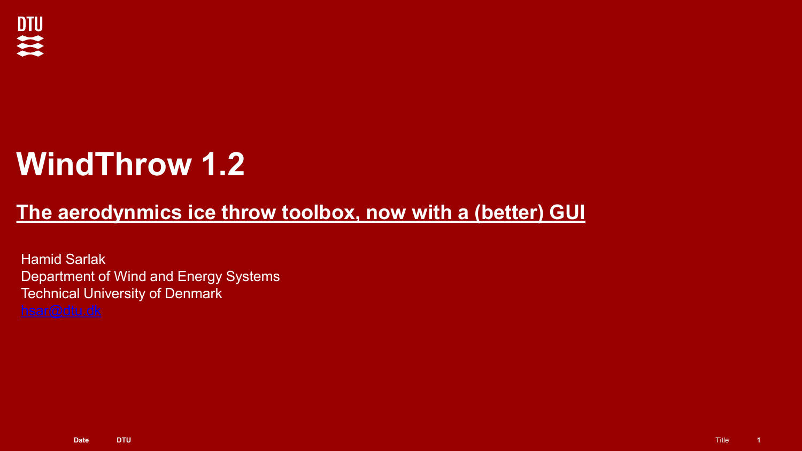

# **WindThrow 1.2**

### **The aerodynmics ice throw toolbox, now with a (better) GUI**

Hamid Sarlak Department of Wind and Energy Systems Technical University of Denmark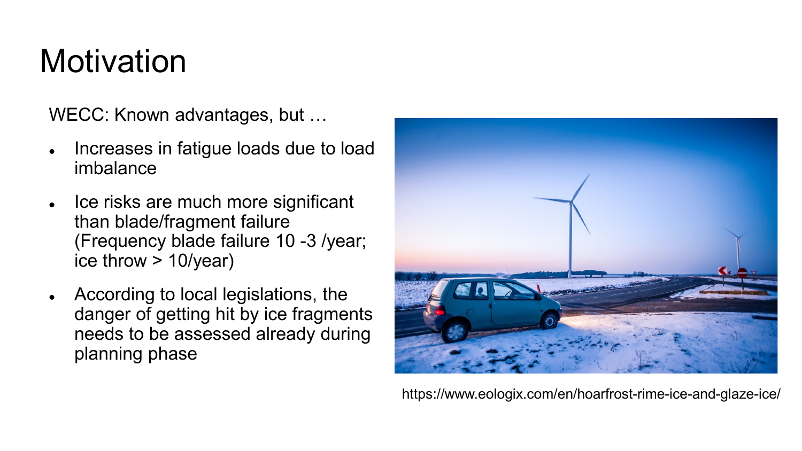# **Motivation**

WECC: Known advantages, but ...

- Increases in fatigue loads due to load imbalance
- Ice risks are much more significant than blade/fragment failure (Frequency blade failure 10 -3 /year; ice throw  $> 10$ /year)
- According to local legislations, the danger of getting hit by ice fragments needs to be assessed already during planning phase



https://www.eologix.com/en/hoarfrost-rime-ice-and-glaze-ice/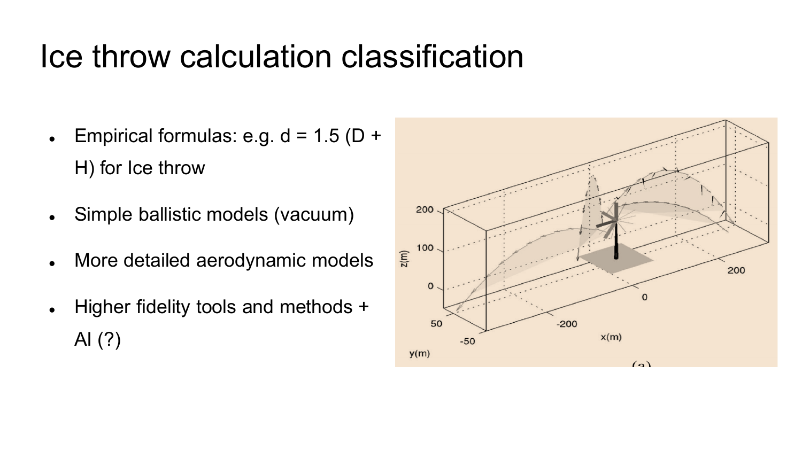### Ice throw calculation classification

- Empirical formulas: e.g.  $d = 1.5$  (D + H) for Ice throw
- Simple ballistic models (vacuum)
- More detailed aerodynamic models
- Higher fidelity tools and methods + AI (?)

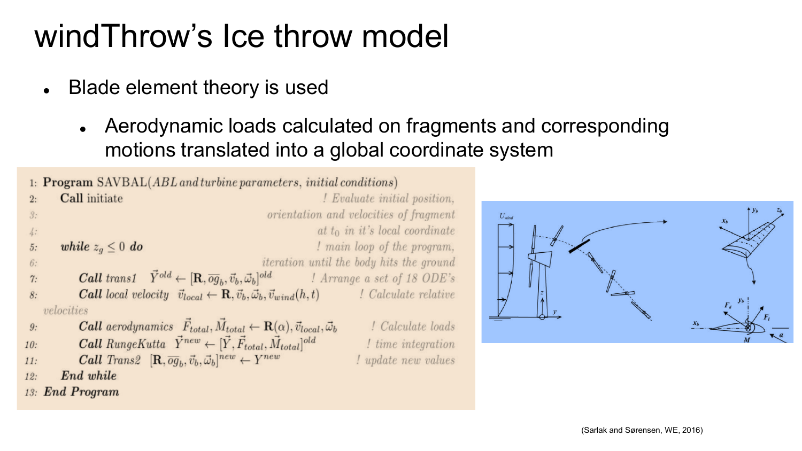# windThrow's Ice throw model

- Blade element theory is used
	- Aerodynamic loads calculated on fragments and corresponding motions translated into a global coordinate system

ls  $\overline{n}$  $2S$ 

#### 1: Program SAVBAL(ABL and turbine parameters, initial conditions)

| 2:  | Call initiate<br>! Evaluate initial position                                                                                                     |
|-----|--------------------------------------------------------------------------------------------------------------------------------------------------|
| 3:  | orientation and velocities of fragmer                                                                                                            |
| 4:  | at to in it's local coordina                                                                                                                     |
| 5:  | while $z_q \leq 0$ do<br>! main loop of the program                                                                                              |
| 6:  | <i>iteration</i> until the body hits the groun                                                                                                   |
| 7:  | <b>Call trans1</b> $\vec{Y}^{old} \leftarrow [\mathbf{R}, \overline{og}_b, \vec{v}_b, \vec{\omega}_b]^{old}$ ! Arrange a set of 18 ODE           |
| 8:  | <b>Call</b> local velocity $\vec{v}_{local} \leftarrow \mathbf{R}, \vec{v}_b, \vec{\omega}_b, \vec{v}_{wind}(h, t)$ ! Calculate relation         |
|     | velocities                                                                                                                                       |
| 9:  | <b>Call</b> aerodynamics $\vec{F}_{total}, \vec{M}_{total} \leftarrow \mathbf{R}(\alpha), \vec{v}_{local}, \vec{\omega}_{b}$<br>! Calculate load |
| 10: | <b>Call</b> RungeKutta $\vec{Y}^{new} \leftarrow [\vec{Y}, \vec{F}_{total}, \vec{M}_{total}]^{old}$<br>! time integratio                         |
| 11: | <b>Call</b> Trans2 $[\mathbf{R}, \overline{og}_b, \overline{v}_b, \overline{\omega}_b]^{new} \leftarrow Y^{new}$<br>! update new value           |
| 12: | End while                                                                                                                                        |
|     | 13: End Program                                                                                                                                  |
|     |                                                                                                                                                  |

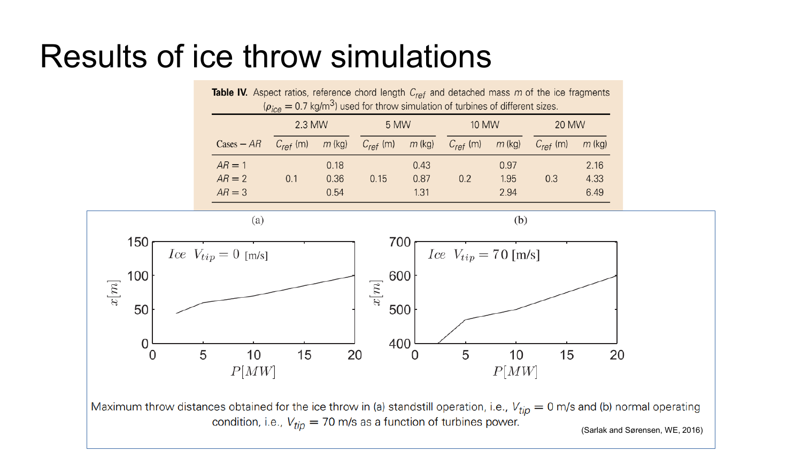### Results of ice throw simulations

 $-111$ 

| <b>Table TV.</b> Aspect fatios, reference chord length C <sub>ref</sub> and detached mass <i>in</i> of the Ice tragments<br>$(\rho_{ice} = 0.7 \text{ kg/m}^3)$ used for throw simulation of turbines of different sizes. |               |          |               |          |               |          |               |          |  |
|---------------------------------------------------------------------------------------------------------------------------------------------------------------------------------------------------------------------------|---------------|----------|---------------|----------|---------------|----------|---------------|----------|--|
|                                                                                                                                                                                                                           | 2.3 MW        |          | 5 MW          |          | 10 MW         |          | 20 MW         |          |  |
| $\text{Case} - \text{AR}$                                                                                                                                                                                                 | $C_{ref}$ (m) | $m$ (kg) | $C_{ref}$ (m) | $m$ (kg) | $C_{ref}$ (m) | $m$ (kg) | $C_{ref}$ (m) | $m$ (kg) |  |
| $AR = 1$                                                                                                                                                                                                                  |               | 0.18     |               | 0.43     |               | 0.97     |               | 2.16     |  |
| $AR = 2$                                                                                                                                                                                                                  | 0.1           | 0.36     | 0.15          | 0.87     | 0.2           | 1.95     | 0.3           | 4.33     |  |
| $AR = 3$                                                                                                                                                                                                                  |               | 0.54     |               | 1.31     |               | 2.94     |               | 6.49     |  |

 $\mathbf{a}$   $\mathbf{b}$   $\mathbf{c}$   $\mathbf{d}$   $\mathbf{c}$ 

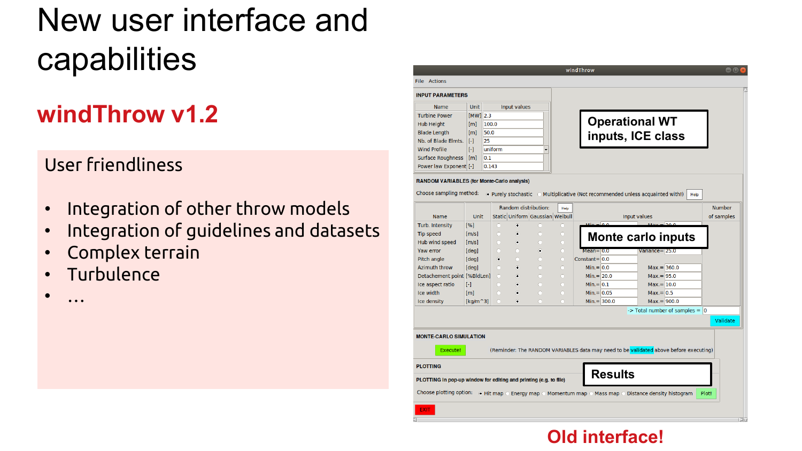# New user interface and capabilities

### **windThrow v1.2**

#### User friendliness

- Integration of other throw models
- Integration of guidelines and datasets
- Complex terrain
- **Turbulence**

• …

Name Unit Input values **Turbine Power**  $IMW12.3$ **Operational WT Hub Height**  $\sqrt{m}$   $\sqrt{100.0}$ 50.0 **Blade Length**  $[ml]$ **inputs, ICE class** Nb. of Blade Elmts. IFT.  $\overline{25}$  $\lbrack \cdot \rbrack$ uniform **Wind Profile** Surface Roughness [m]  $|0.1|$ Power law Exponent [-]  $|0.143$ **RANDOM VARIABLES (for Monte-Carlo analysis)** Choose sampling method:  $\bullet$  Purely stochastic  $\circ$  Multiplicative (Not recommended unless acquainted with!) Help Random distribution: **Number** Help Name Unit **Static Uniform Gaussian Weibull** Input values of samples Turb, Intensity  $\vert$ [%] Tip speed  $\lceil m/s \rceil$ **Monte carlo inputs**Hub wind speed  $\lceil m/s \rceil$ Yaw error [deg]  $Mean = 0.0$ /anance=125.0 [dea] Constant= $0.0$ Pitch angle Azimuth throw **I**deal  $Min = 0.0$  $Max = 360.0$ Detachement point [%BldLen]  $Min = 20.0$  $Max = 95.0$ Ice aspect ratio  $\vert$ [-1  $Min = 0.1$  $Max = 10.0$  $[ml]$  $Min = 0.05$  $Max = 0.5$ Ice width  $\epsilon$ Ice density  $[kq/m^3]$  $Min = 300.0$  $Max = 900.0$  $\rightarrow$  Total number of samples = 0 Validate **MONTE-CARLO SIMULATION** Execute! (Reminder: The RANDOM VARIABLES data may need to be validated above before executing) **PLOTTING Results** PLOTTING in pop-up window for editing and printing (e.g. to file) Choose plotting option: • Hit map C Energy map C Momentum map C Mass map C Distance density histogram Plott

windThrow

File Actions **INPUT PARAMETERS**   $\bigcirc$ 

#### **Old interface!**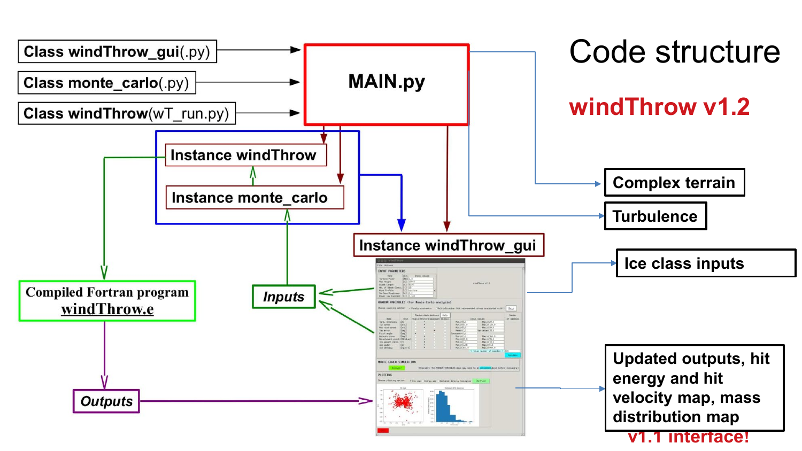